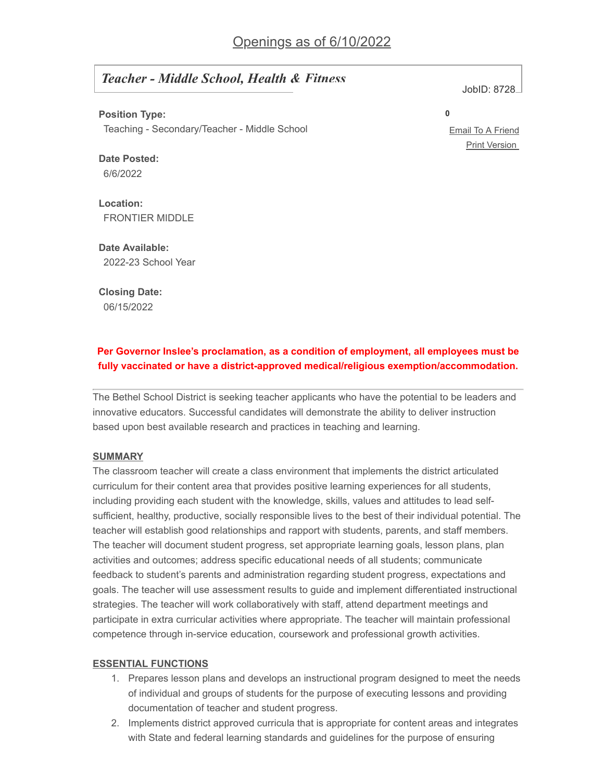# *Teacher - Middle School, Health & Fitness*

JobID: 8728

**Position Type:**

Teaching - Secondary/Teacher - Middle School

**Date Posted:** 6/6/2022

**Location:** FRONTIER MIDDLE

**Date Available:** 2022-23 School Year

**Closing Date:**

06/15/2022

## **Per Governor Inslee's proclamation, as a condition of employment, all employees must be fully vaccinated or have a district-approved medical/religious exemption/accommodation.**

The Bethel School District is seeking teacher applicants who have the potential to be leaders and innovative educators. Successful candidates will demonstrate the ability to deliver instruction based upon best available research and practices in teaching and learning.

## **SUMMARY**

The classroom teacher will create a class environment that implements the district articulated curriculum for their content area that provides positive learning experiences for all students, including providing each student with the knowledge, skills, values and attitudes to lead selfsufficient, healthy, productive, socially responsible lives to the best of their individual potential. The teacher will establish good relationships and rapport with students, parents, and staff members. The teacher will document student progress, set appropriate learning goals, lesson plans, plan activities and outcomes; address specific educational needs of all students; communicate feedback to student's parents and administration regarding student progress, expectations and goals. The teacher will use assessment results to guide and implement differentiated instructional strategies. The teacher will work collaboratively with staff, attend department meetings and participate in extra curricular activities where appropriate. The teacher will maintain professional competence through in-service education, coursework and professional growth activities.

## **ESSENTIAL FUNCTIONS**

- 1. Prepares lesson plans and develops an instructional program designed to meet the needs of individual and groups of students for the purpose of executing lessons and providing documentation of teacher and student progress.
- 2. Implements district approved curricula that is appropriate for content areas and integrates with State and federal learning standards and guidelines for the purpose of ensuring

**0**

Email To A [Friend](javascript:updateEmailLinkFromCurrentWindowLocation("mailto:?subject=Job%20Posting&body=%22,%22I%20thought%20you%20would%20be%20interested%20in%20an%20employment%20opportunity%20I%20found%20at%20Bethel%20School%20District%20403.%20The%20position%20is%20Teacher%20-%20Middle%20School,%20Health%20&%20Fitness.%20Please%20click%20the%20link%20below%20for%20more%20information%20about%20this%20vacancy.%22,%22ApplitrackHardcodedURL?1=1&AppliTrackJobId=8728&AppliTrackLayoutMode=detail&AppliTrackViewPosting=1%22)) Print [Version](javascript:updateHrefFromCurrentWindowLocation("ApplitrackHardcodedURL?1=1&AppliTrackJobId=8728&AppliTrackLayoutMode=detail&AppliTrackViewPosting=1%22%20,%20true,%20false,%20true))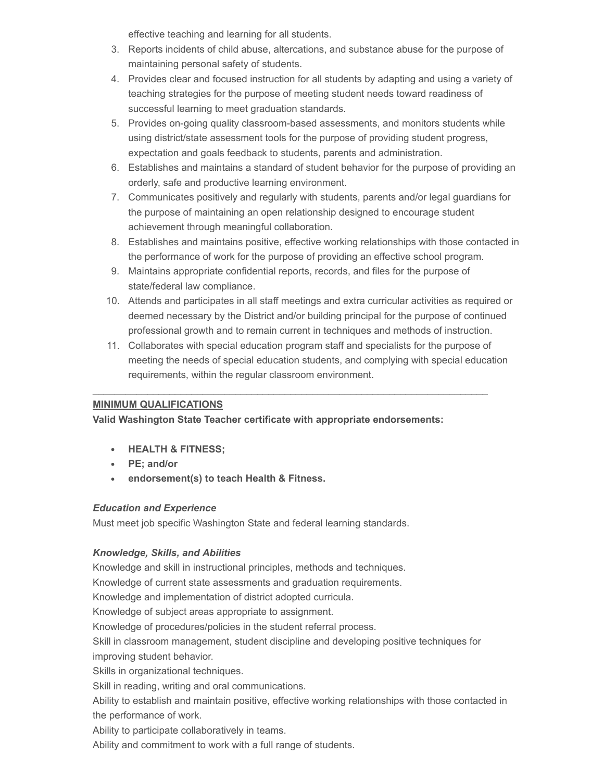effective teaching and learning for all students.

- 3. Reports incidents of child abuse, altercations, and substance abuse for the purpose of maintaining personal safety of students.
- 4. Provides clear and focused instruction for all students by adapting and using a variety of teaching strategies for the purpose of meeting student needs toward readiness of successful learning to meet graduation standards.
- 5. Provides on-going quality classroom-based assessments, and monitors students while using district/state assessment tools for the purpose of providing student progress, expectation and goals feedback to students, parents and administration.
- 6. Establishes and maintains a standard of student behavior for the purpose of providing an orderly, safe and productive learning environment.
- 7. Communicates positively and regularly with students, parents and/or legal guardians for the purpose of maintaining an open relationship designed to encourage student achievement through meaningful collaboration.
- 8. Establishes and maintains positive, effective working relationships with those contacted in the performance of work for the purpose of providing an effective school program.
- 9. Maintains appropriate confidential reports, records, and files for the purpose of state/federal law compliance.

 $\_$  , and the state of the state of the state of the state of the state of the state of the state of the state of the state of the state of the state of the state of the state of the state of the state of the state of the

- 10. Attends and participates in all staff meetings and extra curricular activities as required or deemed necessary by the District and/or building principal for the purpose of continued professional growth and to remain current in techniques and methods of instruction.
- 11. Collaborates with special education program staff and specialists for the purpose of meeting the needs of special education students, and complying with special education requirements, within the regular classroom environment.

## **MINIMUM QUALIFICATIONS**

## **Valid Washington State Teacher certificate with appropriate endorsements:**

- **HEALTH & FITNESS;**
- **PE; and/or**
- **endorsement(s) to teach Health & Fitness.**

## *Education and Experience*

Must meet job specific Washington State and federal learning standards.

## *Knowledge, Skills, and Abilities*

Knowledge and skill in instructional principles, methods and techniques.

Knowledge of current state assessments and graduation requirements.

Knowledge and implementation of district adopted curricula.

Knowledge of subject areas appropriate to assignment.

Knowledge of procedures/policies in the student referral process.

Skill in classroom management, student discipline and developing positive techniques for improving student behavior.

Skills in organizational techniques.

Skill in reading, writing and oral communications.

Ability to establish and maintain positive, effective working relationships with those contacted in the performance of work.

Ability to participate collaboratively in teams.

Ability and commitment to work with a full range of students.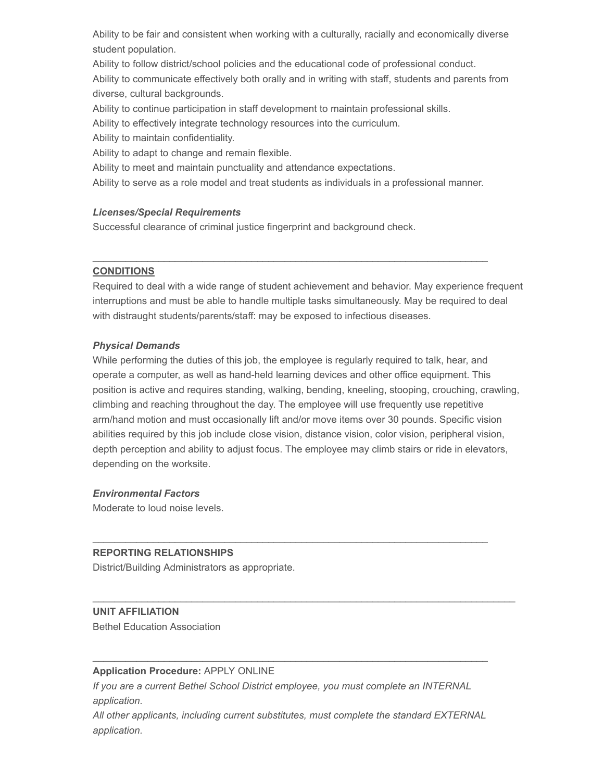Ability to be fair and consistent when working with a culturally, racially and economically diverse student population.

Ability to follow district/school policies and the educational code of professional conduct. Ability to communicate effectively both orally and in writing with staff, students and parents from diverse, cultural backgrounds.

Ability to continue participation in staff development to maintain professional skills.

Ability to effectively integrate technology resources into the curriculum.

Ability to maintain confidentiality.

Ability to adapt to change and remain flexible.

Ability to meet and maintain punctuality and attendance expectations.

Ability to serve as a role model and treat students as individuals in a professional manner.

 $\_$  . The contribution of the contribution of the contribution of the contribution of the contribution of the contribution of  $\mathcal{L}_\text{max}$ 

#### *Licenses/Special Requirements*

Successful clearance of criminal justice fingerprint and background check.

#### **CONDITIONS**

Required to deal with a wide range of student achievement and behavior. May experience frequent interruptions and must be able to handle multiple tasks simultaneously. May be required to deal with distraught students/parents/staff: may be exposed to infectious diseases.

#### *Physical Demands*

While performing the duties of this job, the employee is regularly required to talk, hear, and operate a computer, as well as hand-held learning devices and other office equipment. This position is active and requires standing, walking, bending, kneeling, stooping, crouching, crawling, climbing and reaching throughout the day. The employee will use frequently use repetitive arm/hand motion and must occasionally lift and/or move items over 30 pounds. Specific vision abilities required by this job include close vision, distance vision, color vision, peripheral vision, depth perception and ability to adjust focus. The employee may climb stairs or ride in elevators, depending on the worksite.

## *Environmental Factors*

Moderate to loud noise levels.

## **REPORTING RELATIONSHIPS**

District/Building Administrators as appropriate.

#### **UNIT AFFILIATION**

Bethel Education Association

#### **Application Procedure:** APPLY ONLINE

*If you are a current Bethel School District employee, you must complete an INTERNAL application.*

*All other applicants, including current substitutes, must complete the standard EXTERNAL application.*

 $\_$  . The contribution of the contribution of the contribution of the contribution of the contribution of the contribution of  $\mathcal{L}_\text{max}$ 

 $\_$  , and the state of the state of the state of the state of the state of the state of the state of the state of the state of the state of the state of the state of the state of the state of the state of the state of the

 $\_$  . The contribution of the contribution of the contribution of the contribution of the contribution of the contribution of  $\mathcal{L}_\text{max}$